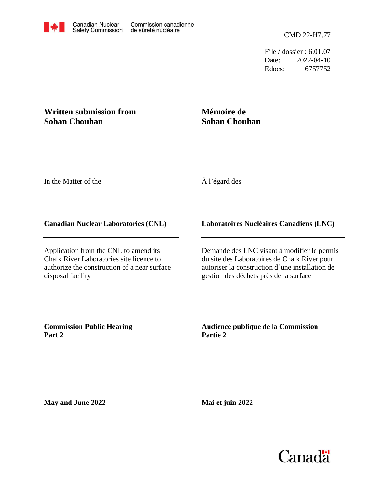File / dossier : 6.01.07 Date: 2022-04-10 Edocs: 6757752

## **Written submission from Sohan Chouhan**

# **Mémoire de Sohan Chouhan**

In the Matter of the

## À l'égard des

#### **Canadian Nuclear Laboratories (CNL)**

Application from the CNL to amend its Chalk River Laboratories site licence to authorize the construction of a near surface disposal facility

#### **Laboratoires Nucléaires Canadiens (LNC)**

Demande des LNC visant à modifier le permis du site des Laboratoires de Chalk River pour autoriser la construction d'une installation de gestion des déchets près de la surface

**Commission Public Hearing Part 2**

**Audience publique de la Commission Partie 2**

**May and June 2022**

**Mai et juin 2022**

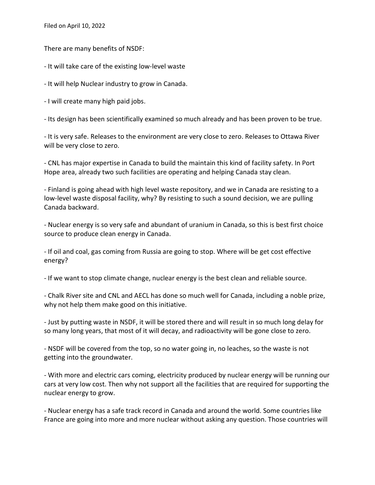Filed on April 10, 2022

There are many benefits of NSDF:

- It will take care of the existing low-level waste

- It will help Nuclear industry to grow in Canada.

- I will create many high paid jobs.

- Its design has been scientifically examined so much already and has been proven to be true.

- It is very safe. Releases to the environment are very close to zero. Releases to Ottawa River will be very close to zero.

- CNL has major expertise in Canada to build the maintain this kind of facility safety. In Port Hope area, already two such facilities are operating and helping Canada stay clean.

- Finland is going ahead with high level waste repository, and we in Canada are resisting to a low-level waste disposal facility, why? By resisting to such a sound decision, we are pulling Canada backward.

- Nuclear energy is so very safe and abundant of uranium in Canada, so this is best first choice source to produce clean energy in Canada.

- If oil and coal, gas coming from Russia are going to stop. Where will be get cost effective energy?

- If we want to stop climate change, nuclear energy is the best clean and reliable source.

- Chalk River site and CNL and AECL has done so much well for Canada, including a noble prize, why not help them make good on this initiative.

- Just by putting waste in NSDF, it will be stored there and will result in so much long delay for so many long years, that most of it will decay, and radioactivity will be gone close to zero.

- NSDF will be covered from the top, so no water going in, no leaches, so the waste is not getting into the groundwater.

- With more and electric cars coming, electricity produced by nuclear energy will be running our cars at very low cost. Then why not support all the facilities that are required for supporting the nuclear energy to grow.

- Nuclear energy has a safe track record in Canada and around the world. Some countries like France are going into more and more nuclear without asking any question. Those countries will